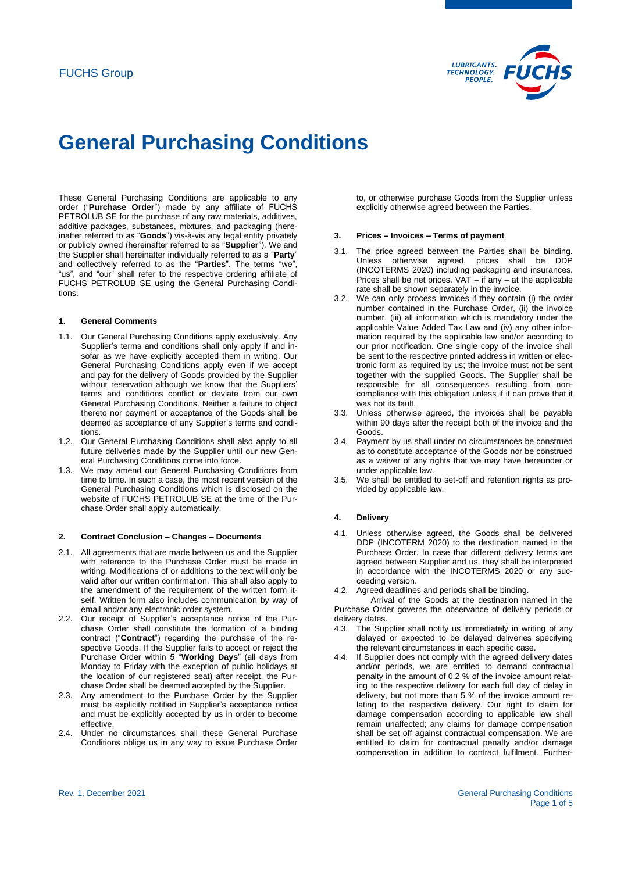

These General Purchasing Conditions are applicable to any order ("**Purchase Order**") made by any affiliate of FUCHS PETROLUB SE for the purchase of any raw materials, additives, additive packages, substances, mixtures, and packaging (hereinafter referred to as "**Goods**") vis-à-vis any legal entity privately or publicly owned (hereinafter referred to as "**Supplier**"). We and the Supplier shall hereinafter individually referred to as a "**Party**" and collectively referred to as the "**Parties**". The terms "we", "us", and "our" shall refer to the respective ordering affiliate of FUCHS PETROLUB SE using the General Purchasing Conditions.

# **1. General Comments**

- 1.1. Our General Purchasing Conditions apply exclusively. Any Supplier's terms and conditions shall only apply if and insofar as we have explicitly accepted them in writing. Our General Purchasing Conditions apply even if we accept and pay for the delivery of Goods provided by the Supplier without reservation although we know that the Suppliers' terms and conditions conflict or deviate from our own General Purchasing Conditions. Neither a failure to object thereto nor payment or acceptance of the Goods shall be deemed as acceptance of any Supplier's terms and conditions.
- 1.2. Our General Purchasing Conditions shall also apply to all future deliveries made by the Supplier until our new General Purchasing Conditions come into force.
- 1.3. We may amend our General Purchasing Conditions from time to time. In such a case, the most recent version of the General Purchasing Conditions which is disclosed on the website of FUCHS PETROLUB SE at the time of the Purchase Order shall apply automatically.

## **2. Contract Conclusion – Changes – Documents**

- <span id="page-0-0"></span>2.1. All agreements that are made between us and the Supplier with reference to the Purchase Order must be made in writing. Modifications of or additions to the text will only be valid after our written confirmation. This shall also apply to the amendment of the requirement of the written form itself. Written form also includes communication by way of email and/or any electronic order system.
- 2.2. Our receipt of Supplier's acceptance notice of the Purchase Order shall constitute the formation of a binding contract ("**Contract**") regarding the purchase of the respective Goods. If the Supplier fails to accept or reject the Purchase Order within 5 "**Working Days**" (all days from Monday to Friday with the exception of public holidays at the location of our registered seat) after receipt, the Purchase Order shall be deemed accepted by the Supplier.
- 2.3. Any amendment to the Purchase Order by the Supplier must be explicitly notified in Supplier's acceptance notice and must be explicitly accepted by us in order to become effective.
- 2.4. Under no circumstances shall these General Purchase Conditions oblige us in any way to issue Purchase Order

to, or otherwise purchase Goods from the Supplier unless explicitly otherwise agreed between the Parties.

## **3. Prices – Invoices – Terms of payment**

- 3.1. The price agreed between the Parties shall be binding. Unless otherwise agreed, prices shall be DDP (INCOTERMS 2020) including packaging and insurances. Prices shall be net prices. VAT – if any – at the applicable rate shall be shown separately in the invoice.
- 3.2. We can only process invoices if they contain (i) the order number contained in the Purchase Order, (ii) the invoice number, (iii) all information which is mandatory under the applicable Value Added Tax Law and (iv) any other information required by the applicable law and/or according to our prior notification. One single copy of the invoice shall be sent to the respective printed address in written or electronic form as required by us; the invoice must not be sent together with the supplied Goods. The Supplier shall be responsible for all consequences resulting from noncompliance with this obligation unless if it can prove that it was not its fault.
- 3.3. Unless otherwise agreed, the invoices shall be payable within 90 days after the receipt both of the invoice and the Goods.
- 3.4. Payment by us shall under no circumstances be construed as to constitute acceptance of the Goods nor be construed as a waiver of any rights that we may have hereunder or under applicable law.
- 3.5. We shall be entitled to set-off and retention rights as provided by applicable law.

## **4. Delivery**

- 4.1. Unless otherwise agreed, the Goods shall be delivered DDP (INCOTERM 2020) to the destination named in the Purchase Order. In case that different delivery terms are agreed between Supplier and us, they shall be interpreted in accordance with the INCOTERMS 2020 or any succeeding version.
- 4.2. Agreed deadlines and periods shall be binding.

Arrival of the Goods at the destination named in the Purchase Order governs the observance of delivery periods or delivery dates.

- 4.3. The Supplier shall notify us immediately in writing of any delayed or expected to be delayed deliveries specifying the relevant circumstances in each specific case.
- 4.4. If Supplier does not comply with the agreed delivery dates and/or periods, we are entitled to demand contractual penalty in the amount of 0.2 % of the invoice amount relating to the respective delivery for each full day of delay in delivery, but not more than 5 % of the invoice amount relating to the respective delivery. Our right to claim for damage compensation according to applicable law shall remain unaffected; any claims for damage compensation shall be set off against contractual compensation. We are entitled to claim for contractual penalty and/or damage compensation in addition to contract fulfilment. Further-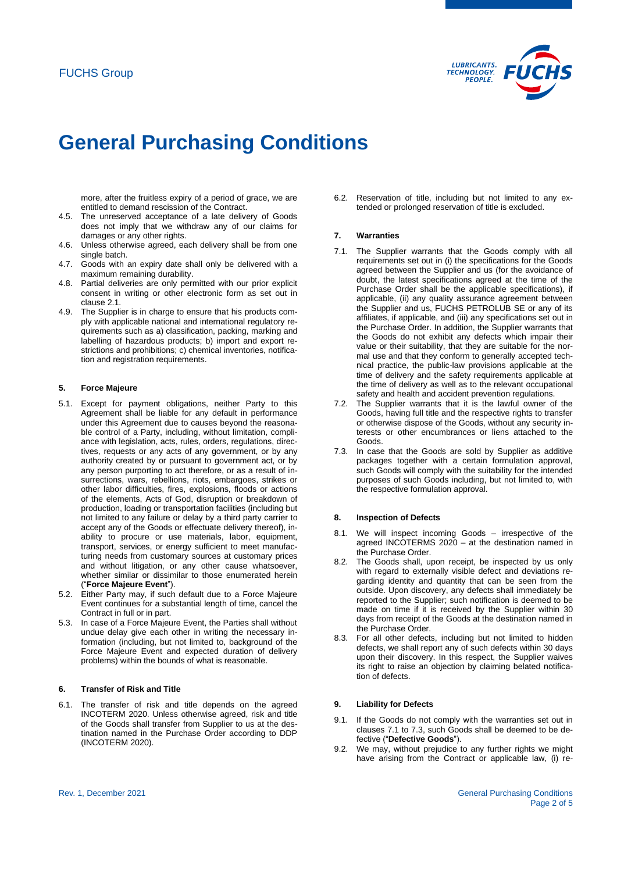

more, after the fruitless expiry of a period of grace, we are entitled to demand rescission of the Contract.

- 4.5. The unreserved acceptance of a late delivery of Goods does not imply that we withdraw any of our claims for damages or any other rights.
- 4.6. Unless otherwise agreed, each delivery shall be from one single batch.
- 4.7. Goods with an expiry date shall only be delivered with a maximum remaining durability.
- 4.8. Partial deliveries are only permitted with our prior explicit consent in writing or other electronic form as set out in claus[e 2.1.](#page-0-0)
- 4.9. The Supplier is in charge to ensure that his products comply with applicable national and international regulatory requirements such as a) classification, packing, marking and labelling of hazardous products; b) import and export restrictions and prohibitions; c) chemical inventories, notification and registration requirements.

## **5. Force Majeure**

- 5.1. Except for payment obligations, neither Party to this Agreement shall be liable for any default in performance under this Agreement due to causes beyond the reasonable control of a Party, including, without limitation, compliance with legislation, acts, rules, orders, regulations, directives, requests or any acts of any government, or by any authority created by or pursuant to government act, or by any person purporting to act therefore, or as a result of insurrections, wars, rebellions, riots, embargoes, strikes or other labor difficulties, fires, explosions, floods or actions of the elements, Acts of God, disruption or breakdown of production, loading or transportation facilities (including but not limited to any failure or delay by a third party carrier to accept any of the Goods or effectuate delivery thereof), inability to procure or use materials, labor, equipment, transport, services, or energy sufficient to meet manufacturing needs from customary sources at customary prices and without litigation, or any other cause whatsoever, whether similar or dissimilar to those enumerated herein ("**Force Majeure Event**").
- 5.2. Either Party may, if such default due to a Force Majeure Event continues for a substantial length of time, cancel the Contract in full or in part.
- 5.3. In case of a Force Majeure Event, the Parties shall without undue delay give each other in writing the necessary information (including, but not limited to, background of the Force Majeure Event and expected duration of delivery problems) within the bounds of what is reasonable.

# **6. Transfer of Risk and Title**

6.1. The transfer of risk and title depends on the agreed INCOTERM 2020. Unless otherwise agreed, risk and title of the Goods shall transfer from Supplier to us at the destination named in the Purchase Order according to DDP (INCOTERM 2020).

6.2. Reservation of title, including but not limited to any extended or prolonged reservation of title is excluded.

## **7. Warranties**

- <span id="page-1-0"></span>7.1. The Supplier warrants that the Goods comply with all requirements set out in (i) the specifications for the Goods agreed between the Supplier and us (for the avoidance of doubt, the latest specifications agreed at the time of the Purchase Order shall be the applicable specifications), if applicable, (ii) any quality assurance agreement between the Supplier and us, FUCHS PETROLUB SE or any of its affiliates, if applicable, and (iii) any specifications set out in the Purchase Order. In addition, the Supplier warrants that the Goods do not exhibit any defects which impair their value or their suitability, that they are suitable for the normal use and that they conform to generally accepted technical practice, the public-law provisions applicable at the time of delivery and the safety requirements applicable at the time of delivery as well as to the relevant occupational safety and health and accident prevention regulations.
- 7.2. The Supplier warrants that it is the lawful owner of the Goods, having full title and the respective rights to transfer or otherwise dispose of the Goods, without any security interests or other encumbrances or liens attached to the Goods.
- <span id="page-1-1"></span>7.3. In case that the Goods are sold by Supplier as additive packages together with a certain formulation approval, such Goods will comply with the suitability for the intended purposes of such Goods including, but not limited to, with the respective formulation approval.

## **8. Inspection of Defects**

- 8.1. We will inspect incoming Goods irrespective of the agreed INCOTERMS 2020 – at the destination named in the Purchase Order.
- 8.2. The Goods shall, upon receipt, be inspected by us only with regard to externally visible defect and deviations regarding identity and quantity that can be seen from the outside. Upon discovery, any defects shall immediately be reported to the Supplier; such notification is deemed to be made on time if it is received by the Supplier within 30 days from receipt of the Goods at the destination named in the Purchase Order.
- 8.3. For all other defects, including but not limited to hidden defects, we shall report any of such defects within 30 days upon their discovery. In this respect, the Supplier waives its right to raise an objection by claiming belated notification of defects.

# **9. Liability for Defects**

- 9.1. If the Goods do not comply with the warranties set out in clause[s 7.1](#page-1-0) t[o 7.3,](#page-1-1) such Goods shall be deemed to be defective ("**Defective Goods**").
- 9.2. We may, without prejudice to any further rights we might have arising from the Contract or applicable law, (i) re-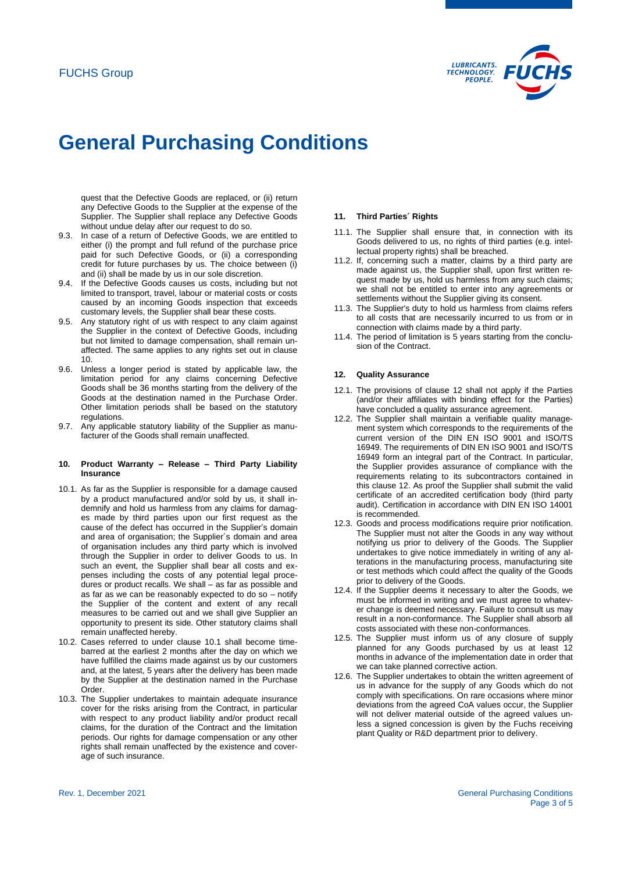

quest that the Defective Goods are replaced, or (ii) return any Defective Goods to the Supplier at the expense of the Supplier. The Supplier shall replace any Defective Goods without undue delay after our request to do so.

- 9.3. In case of a return of Defective Goods, we are entitled to either (i) the prompt and full refund of the purchase price paid for such Defective Goods, or (ii) a corresponding credit for future purchases by us. The choice between (i) and (ii) shall be made by us in our sole discretion.
- 9.4. If the Defective Goods causes us costs, including but not limited to transport, travel, labour or material costs or costs caused by an incoming Goods inspection that exceeds customary levels, the Supplier shall bear these costs.
- 9.5. Any statutory right of us with respect to any claim against the Supplier in the context of Defective Goods, including but not limited to damage compensation, shall remain unaffected. The same applies to any rights set out in clause [10.](#page-2-0)
- 9.6. Unless a longer period is stated by applicable law, the limitation period for any claims concerning Defective Goods shall be 36 months starting from the delivery of the Goods at the destination named in the Purchase Order. Other limitation periods shall be based on the statutory regulations.
- <span id="page-2-0"></span>9.7. Any applicable statutory liability of the Supplier as manufacturer of the Goods shall remain unaffected.

### **10. Product Warranty – Release – Third Party Liability Insurance**

- <span id="page-2-1"></span>10.1. As far as the Supplier is responsible for a damage caused by a product manufactured and/or sold by us, it shall indemnify and hold us harmless from any claims for damages made by third parties upon our first request as the cause of the defect has occurred in the Supplier's domain and area of organisation; the Supplier´s domain and area of organisation includes any third party which is involved through the Supplier in order to deliver Goods to us. In such an event, the Supplier shall bear all costs and expenses including the costs of any potential legal procedures or product recalls. We shall – as far as possible and as far as we can be reasonably expected to do so – notify the Supplier of the content and extent of any recall measures to be carried out and we shall give Supplier an opportunity to present its side. Other statutory claims shall remain unaffected hereby.
- 10.2. Cases referred to under clause [10.1](#page-2-1) shall become timebarred at the earliest 2 months after the day on which we have fulfilled the claims made against us by our customers and, at the latest, 5 years after the delivery has been made by the Supplier at the destination named in the Purchase Order.
- 10.3. The Supplier undertakes to maintain adequate insurance cover for the risks arising from the Contract, in particular with respect to any product liability and/or product recall claims, for the duration of the Contract and the limitation periods. Our rights for damage compensation or any other rights shall remain unaffected by the existence and coverage of such insurance.

#### **11. Third Parties´ Rights**

- 11.1. The Supplier shall ensure that, in connection with its Goods delivered to us, no rights of third parties (e.g. intellectual property rights) shall be breached.
- 11.2. If, concerning such a matter, claims by a third party are made against us, the Supplier shall, upon first written request made by us, hold us harmless from any such claims; we shall not be entitled to enter into any agreements or settlements without the Supplier giving its consent.
- 11.3. The Supplier's duty to hold us harmless from claims refers to all costs that are necessarily incurred to us from or in connection with claims made by a third party.
- 11.4. The period of limitation is 5 years starting from the conclusion of the Contract.

#### <span id="page-2-2"></span>**12. Quality Assurance**

- 12.1. The provisions of clause [12](#page-2-2) shall not apply if the Parties (and/or their affiliates with binding effect for the Parties) have concluded a quality assurance agreement.
- 12.2. The Supplier shall maintain a verifiable quality management system which corresponds to the requirements of the current version of the DIN EN ISO 9001 and ISO/TS 16949. The requirements of DIN EN ISO 9001 and ISO/TS 16949 form an integral part of the Contract. In particular, the Supplier provides assurance of compliance with the requirements relating to its subcontractors contained in this clause [12.](#page-2-2) As proof the Supplier shall submit the valid certificate of an accredited certification body (third party audit). Certification in accordance with DIN EN ISO 14001 is recommended.
- 12.3. Goods and process modifications require prior notification. The Supplier must not alter the Goods in any way without notifying us prior to delivery of the Goods. The Supplier undertakes to give notice immediately in writing of any alterations in the manufacturing process, manufacturing site or test methods which could affect the quality of the Goods prior to delivery of the Goods.
- 12.4. If the Supplier deems it necessary to alter the Goods, we must be informed in writing and we must agree to whatever change is deemed necessary. Failure to consult us may result in a non-conformance. The Supplier shall absorb all costs associated with these non-conformances.
- 12.5. The Supplier must inform us of any closure of supply planned for any Goods purchased by us at least 12 months in advance of the implementation date in order that we can take planned corrective action.
- 12.6. The Supplier undertakes to obtain the written agreement of us in advance for the supply of any Goods which do not comply with specifications. On rare occasions where minor deviations from the agreed CoA values occur, the Supplier will not deliver material outside of the agreed values unless a signed concession is given by the Fuchs receiving plant Quality or R&D department prior to delivery.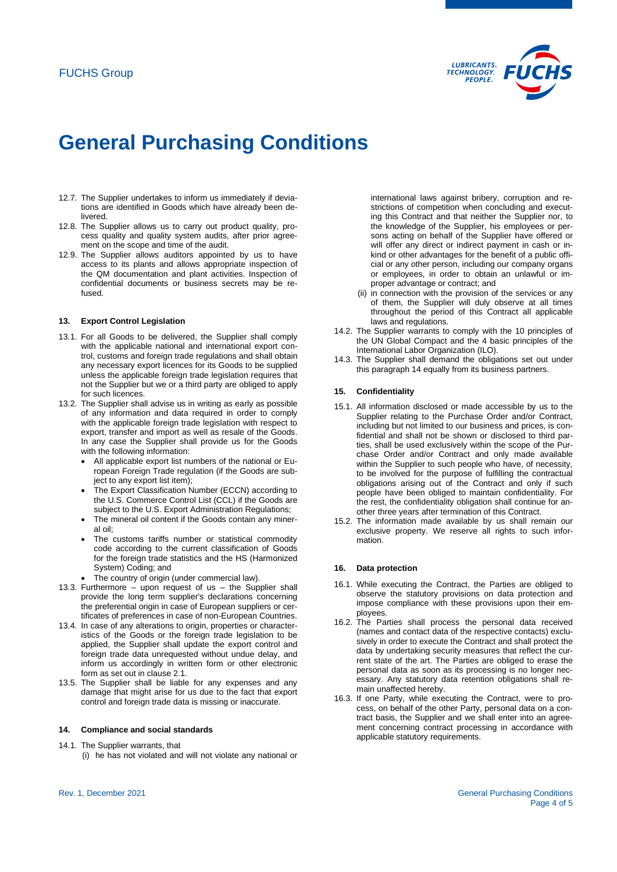

- 12.7. The Supplier undertakes to inform us immediately if deviations are identified in Goods which have already been delivered.
- 12.8. The Supplier allows us to carry out product quality, process quality and quality system audits, after prior agreement on the scope and time of the audit.
- 12.9. The Supplier allows auditors appointed by us to have access to its plants and allows appropriate inspection of the QM documentation and plant activities. Inspection of confidential documents or business secrets may be refused.

### **13. Export Control Legislation**

- 13.1. For all Goods to be delivered, the Supplier shall comply with the applicable national and international export control, customs and foreign trade regulations and shall obtain any necessary export licences for its Goods to be supplied unless the applicable foreign trade legislation requires that not the Supplier but we or a third party are obliged to apply for such licences.
- 13.2. The Supplier shall advise us in writing as early as possible of any information and data required in order to comply with the applicable foreign trade legislation with respect to export, transfer and import as well as resale of the Goods. In any case the Supplier shall provide us for the Goods with the following information:
	- All applicable export list numbers of the national or European Foreign Trade regulation (if the Goods are subject to any export list item);
	- The Export Classification Number (ECCN) according to the U.S. Commerce Control List (CCL) if the Goods are subject to the U.S. Export Administration Regulations;
	- The mineral oil content if the Goods contain any mineral oil;
	- The customs tariffs number or statistical commodity code according to the current classification of Goods for the foreign trade statistics and the HS (Harmonized System) Coding; and
	- The country of origin (under commercial law).
- 13.3. Furthermore upon request of us the Supplier shall provide the long term supplier's declarations concerning the preferential origin in case of European suppliers or certificates of preferences in case of non-European Countries.
- 13.4. In case of any alterations to origin, properties or characteristics of the Goods or the foreign trade legislation to be applied, the Supplier shall update the export control and foreign trade data unrequested without undue delay, and inform us accordingly in written form or other electronic form as set out in claus[e 2.1.](#page-0-0)
- 13.5. The Supplier shall be liable for any expenses and any damage that might arise for us due to the fact that export control and foreign trade data is missing or inaccurate.

## <span id="page-3-0"></span>**14. Compliance and social standards**

- 14.1. The Supplier warrants, that
	- (i) he has not violated and will not violate any national or

international laws against bribery, corruption and restrictions of competition when concluding and executing this Contract and that neither the Supplier nor, to the knowledge of the Supplier, his employees or persons acting on behalf of the Supplier have offered or will offer any direct or indirect payment in cash or inkind or other advantages for the benefit of a public official or any other person, including our company organs or employees, in order to obtain an unlawful or improper advantage or contract; and

- (ii) in connection with the provision of the services or any of them, the Supplier will duly observe at all times throughout the period of this Contract all applicable laws and regulations.
- 14.2. The Supplier warrants to comply with the 10 principles of the UN Global Compact and the 4 basic principles of the International Labor Organization (ILO).
- 14.3. The Supplier shall demand the obligations set out under this paragrap[h 14](#page-3-0) equally from its business partners.

#### **15. Confidentiality**

- 15.1. All information disclosed or made accessible by us to the Supplier relating to the Purchase Order and/or Contract, including but not limited to our business and prices, is confidential and shall not be shown or disclosed to third parties, shall be used exclusively within the scope of the Purchase Order and/or Contract and only made available within the Supplier to such people who have, of necessity, to be involved for the purpose of fulfilling the contractual obligations arising out of the Contract and only if such people have been obliged to maintain confidentiality. For the rest, the confidentiality obligation shall continue for another three years after termination of this Contract.
- 15.2. The information made available by us shall remain our exclusive property. We reserve all rights to such information.

#### **16. Data protection**

- 16.1. While executing the Contract, the Parties are obliged to observe the statutory provisions on data protection and impose compliance with these provisions upon their employees.
- 16.2. The Parties shall process the personal data received (names and contact data of the respective contacts) exclusively in order to execute the Contract and shall protect the data by undertaking security measures that reflect the current state of the art. The Parties are obliged to erase the personal data as soon as its processing is no longer necessary. Any statutory data retention obligations shall remain unaffected hereby.
- 16.3. If one Party, while executing the Contract, were to process, on behalf of the other Party, personal data on a contract basis, the Supplier and we shall enter into an agreement concerning contract processing in accordance with applicable statutory requirements.